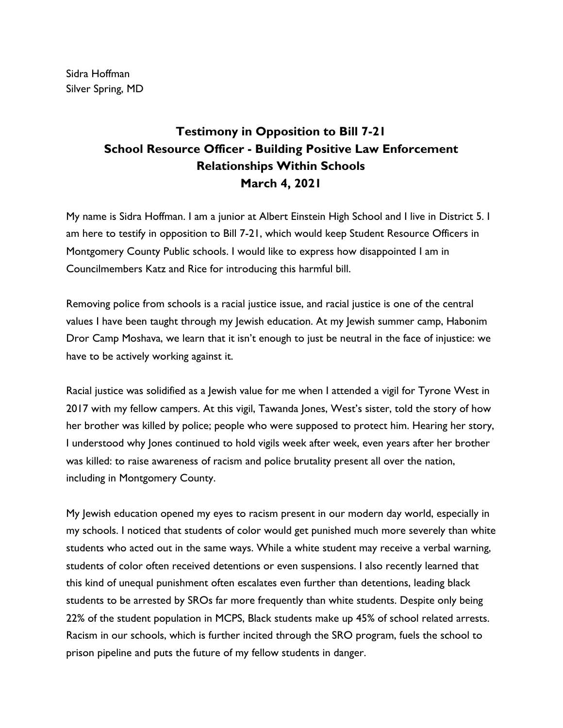Sidra Hoffman Silver Spring, MD

## **Testimony in Opposition to Bill 7-21 School Resource Officer - Building Positive Law Enforcement Relationships Within Schools March 4, 2021**

My name is Sidra Hoffman. I am a junior at Albert Einstein High School and I live in District 5. I am here to testify in opposition to Bill 7-21, which would keep Student Resource Officers in Montgomery County Public schools. I would like to express how disappointed I am in Councilmembers Katz and Rice for introducing this harmful bill.

Removing police from schools is a racial justice issue, and racial justice is one of the central values I have been taught through my Jewish education. At my Jewish summer camp, Habonim Dror Camp Moshava, we learn that it isn't enough to just be neutral in the face of injustice: we have to be actively working against it.

Racial justice was solidified as a Jewish value for me when I attended a vigil for Tyrone West in 2017 with my fellow campers. At this vigil, Tawanda Jones, West's sister, told the story of how her brother was killed by police; people who were supposed to protect him. Hearing her story, I understood why Jones continued to hold vigils week after week, even years after her brother was killed: to raise awareness of racism and police brutality present all over the nation, including in Montgomery County.

My Jewish education opened my eyes to racism present in our modern day world, especially in my schools. I noticed that students of color would get punished much more severely than white students who acted out in the same ways. While a white student may receive a verbal warning, students of color often received detentions or even suspensions. I also recently learned that this kind of unequal punishment often escalates even further than detentions, leading black students to be arrested by SROs far more frequently than white students. Despite only being 22% of the student population in MCPS, Black students make up 45% of school related arrests. Racism in our schools, which is further incited through the SRO program, fuels the school to prison pipeline and puts the future of my fellow students in danger.